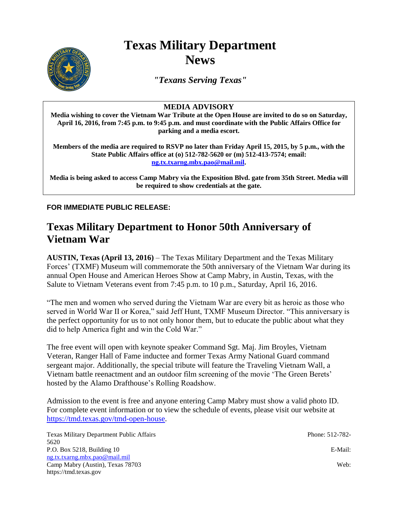## **Texas Military Department News**



*"Texans Serving Texas"*

## **MEDIA ADVISORY**

**Media wishing to cover the Vietnam War Tribute at the Open House are invited to do so on Saturday, April 16, 2016, from 7:45 p.m. to 9:45 p.m. and must coordinate with the Public Affairs Office for parking and a media escort.** 

**Members of the media are required to RSVP no later than Friday April 15, 2015, by 5 p.m., with the State Public Affairs office at (o) 512-782-5620 or (m) 512-413-7574; email: [ng.tx.txarng.mbx.pao@mail.mil.](mailto:ng.tx.txarng.mbx.pao@mail.mil)** 

**Media is being asked to access Camp Mabry via the Exposition Blvd. gate from 35th Street. Media will be required to show credentials at the gate.**

**FOR IMMEDIATE PUBLIC RELEASE:**

## **Texas Military Department to Honor 50th Anniversary of Vietnam War**

**AUSTIN, Texas (April 13, 2016)** – The Texas Military Department and the Texas Military Forces' (TXMF) Museum will commemorate the 50th anniversary of the Vietnam War during its annual Open House and American Heroes Show at Camp Mabry, in Austin, Texas, with the Salute to Vietnam Veterans event from 7:45 p.m. to 10 p.m., Saturday, April 16, 2016.

"The men and women who served during the Vietnam War are every bit as heroic as those who served in World War II or Korea," said Jeff Hunt, TXMF Museum Director. "This anniversary is the perfect opportunity for us to not only honor them, but to educate the public about what they did to help America fight and win the Cold War."

The free event will open with keynote speaker Command Sgt. Maj. Jim Broyles, Vietnam Veteran, Ranger Hall of Fame inductee and former Texas Army National Guard command sergeant major. Additionally, the special tribute will feature the Traveling Vietnam Wall, a Vietnam battle reenactment and an outdoor film screening of the movie 'The Green Berets' hosted by the Alamo Drafthouse's Rolling Roadshow.

Admission to the event is free and anyone entering Camp Mabry must show a valid photo ID. For complete event information or to view the schedule of events, please visit our website at [https://tmd.texas.gov/tmd-open-house.](https://tmd.texas.gov/tmd-open-house)

| Texas Military Department Public Affairs | Phone: 512-782- |
|------------------------------------------|-----------------|
| 5620                                     |                 |
| P.O. Box $5218$ , Building 10            | E-Mail:         |
| ng.txt.xarng,mbx.pao@mail, mil           |                 |
| Camp Mabry (Austin), Texas 78703         | Web:            |
| https://tmd.texas.gov                    |                 |